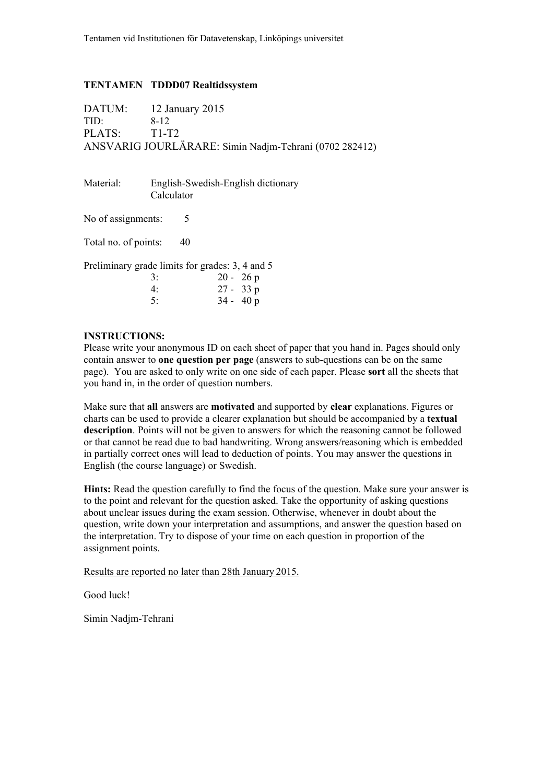#### **TENTAMEN TDDD07 Realtidssystem**

|                                       | DATUM: 12 January 2015                                 |
|---------------------------------------|--------------------------------------------------------|
| TID:                                  | 8-12                                                   |
| PLATS: T <sub>1</sub> -T <sub>2</sub> |                                                        |
|                                       | ANSVARIG JOURLÄRARE: Simin Nadjm-Tehrani (0702 282412) |

Material: English-Swedish-English dictionary Calculator

No of assignments: 5

Total no. of points: 40

Preliminary grade limits for grades: 3, 4 and 5

| 3: | $20 - 26 p$ |
|----|-------------|
| 4: | $27 - 33 p$ |
| 5: | $34 - 40 p$ |

#### **INSTRUCTIONS:**

Please write your anonymous ID on each sheet of paper that you hand in. Pages should only contain answer to **one question per page** (answers to sub-questions can be on the same page). You are asked to only write on one side of each paper. Please **sort** all the sheets that you hand in, in the order of question numbers.

Make sure that **all** answers are **motivated** and supported by **clear** explanations. Figures or charts can be used to provide a clearer explanation but should be accompanied by a **textual description**. Points will not be given to answers for which the reasoning cannot be followed or that cannot be read due to bad handwriting. Wrong answers/reasoning which is embedded in partially correct ones will lead to deduction of points. You may answer the questions in English (the course language) or Swedish.

**Hints:** Read the question carefully to find the focus of the question. Make sure your answer is to the point and relevant for the question asked. Take the opportunity of asking questions about unclear issues during the exam session. Otherwise, whenever in doubt about the question, write down your interpretation and assumptions, and answer the question based on the interpretation. Try to dispose of your time on each question in proportion of the assignment points.

Results are reported no later than 28th January 2015.

Good luck!

Simin Nadjm-Tehrani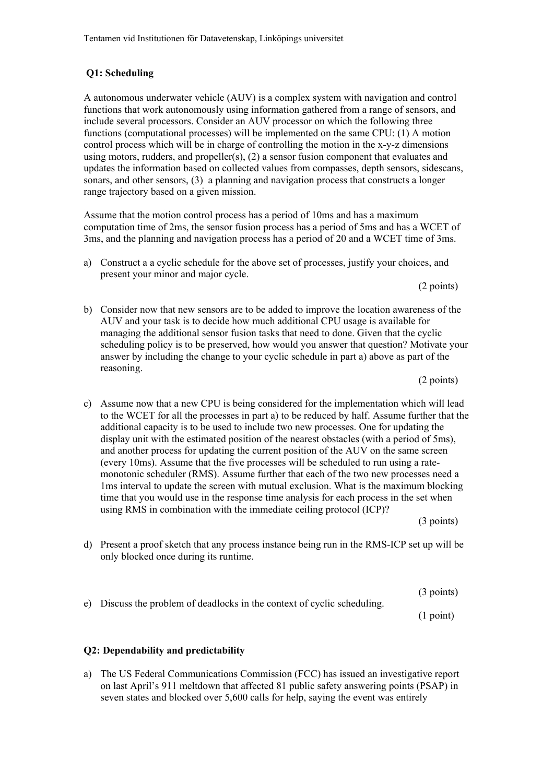# **Q1: Scheduling**

A autonomous underwater vehicle (AUV) is a complex system with navigation and control functions that work autonomously using information gathered from a range of sensors, and include several processors. Consider an AUV processor on which the following three functions (computational processes) will be implemented on the same CPU: (1) A motion control process which will be in charge of controlling the motion in the x-y-z dimensions using motors, rudders, and propeller(s), (2) a sensor fusion component that evaluates and updates the information based on collected values from compasses, depth sensors, sidescans, sonars, and other sensors, (3) a planning and navigation process that constructs a longer range trajectory based on a given mission.

Assume that the motion control process has a period of 10ms and has a maximum computation time of 2ms, the sensor fusion process has a period of 5ms and has a WCET of 3ms, and the planning and navigation process has a period of 20 and a WCET time of 3ms.

a) Construct a a cyclic schedule for the above set of processes, justify your choices, and present your minor and major cycle.

(2 points)

b) Consider now that new sensors are to be added to improve the location awareness of the AUV and your task is to decide how much additional CPU usage is available for managing the additional sensor fusion tasks that need to done. Given that the cyclic scheduling policy is to be preserved, how would you answer that question? Motivate your answer by including the change to your cyclic schedule in part a) above as part of the reasoning.

(2 points)

c) Assume now that a new CPU is being considered for the implementation which will lead to the WCET for all the processes in part a) to be reduced by half. Assume further that the additional capacity is to be used to include two new processes. One for updating the display unit with the estimated position of the nearest obstacles (with a period of 5ms), and another process for updating the current position of the AUV on the same screen (every 10ms). Assume that the five processes will be scheduled to run using a ratemonotonic scheduler (RMS). Assume further that each of the two new processes need a 1ms interval to update the screen with mutual exclusion. What is the maximum blocking time that you would use in the response time analysis for each process in the set when using RMS in combination with the immediate ceiling protocol (ICP)?

(3 points)

d) Present a proof sketch that any process instance being run in the RMS-ICP set up will be only blocked once during its runtime.

 (3 points) e) Discuss the problem of deadlocks in the context of cyclic scheduling.

(1 point)

#### **Q2: Dependability and predictability**

a) The US Federal Communications Commission (FCC) has issued an investigative report on last April's 911 meltdown that affected 81 public safety answering points (PSAP) in seven states and blocked over 5,600 calls for help, saying the event was entirely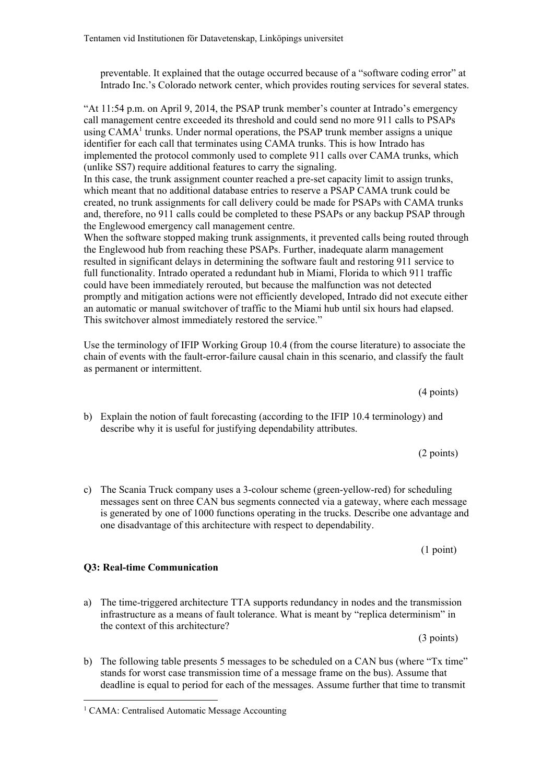preventable. It explained that the outage occurred because of a "software coding error" at Intrado Inc.'s Colorado network center, which provides routing services for several states.

"At 11:54 p.m. on April 9, 2014, the PSAP trunk member's counter at Intrado's emergency call management centre exceeded its threshold and could send no more 911 calls to PSAPs using  $CAMA<sup>1</sup>$  trunks. Under normal operations, the PSAP trunk member assigns a unique identifier for each call that terminates using CAMA trunks. This is how Intrado has implemented the protocol commonly used to complete 911 calls over CAMA trunks, which (unlike SS7) require additional features to carry the signaling.

In this case, the trunk assignment counter reached a pre-set capacity limit to assign trunks, which meant that no additional database entries to reserve a PSAP CAMA trunk could be created, no trunk assignments for call delivery could be made for PSAPs with CAMA trunks and, therefore, no 911 calls could be completed to these PSAPs or any backup PSAP through the Englewood emergency call management centre.

When the software stopped making trunk assignments, it prevented calls being routed through the Englewood hub from reaching these PSAPs. Further, inadequate alarm management resulted in significant delays in determining the software fault and restoring 911 service to full functionality. Intrado operated a redundant hub in Miami, Florida to which 911 traffic could have been immediately rerouted, but because the malfunction was not detected promptly and mitigation actions were not efficiently developed, Intrado did not execute either an automatic or manual switchover of traffic to the Miami hub until six hours had elapsed. This switchover almost immediately restored the service."

Use the terminology of IFIP Working Group 10.4 (from the course literature) to associate the chain of events with the fault-error-failure causal chain in this scenario, and classify the fault as permanent or intermittent.

- b) Explain the notion of fault forecasting (according to the IFIP 10.4 terminology) and describe why it is useful for justifying dependability attributes.
- c) The Scania Truck company uses a 3-colour scheme (green-yellow-red) for scheduling messages sent on three CAN bus segments connected via a gateway, where each message is generated by one of 1000 functions operating in the trucks. Describe one advantage and one disadvantage of this architecture with respect to dependability.

a) The time-triggered architecture TTA supports redundancy in nodes and the transmission infrastructure as a means of fault tolerance. What is meant by "replica determinism" in the context of this architecture?

b) The following table presents 5 messages to be scheduled on a CAN bus (where "Tx time" stands for worst case transmission time of a message frame on the bus). Assume that deadline is equal to period for each of the messages. Assume further that time to transmit

# **Q3: Real-time Communication**

1

(1 point)

(4 points)

(2 points)

(3 points)

<sup>&</sup>lt;sup>1</sup> CAMA: Centralised Automatic Message Accounting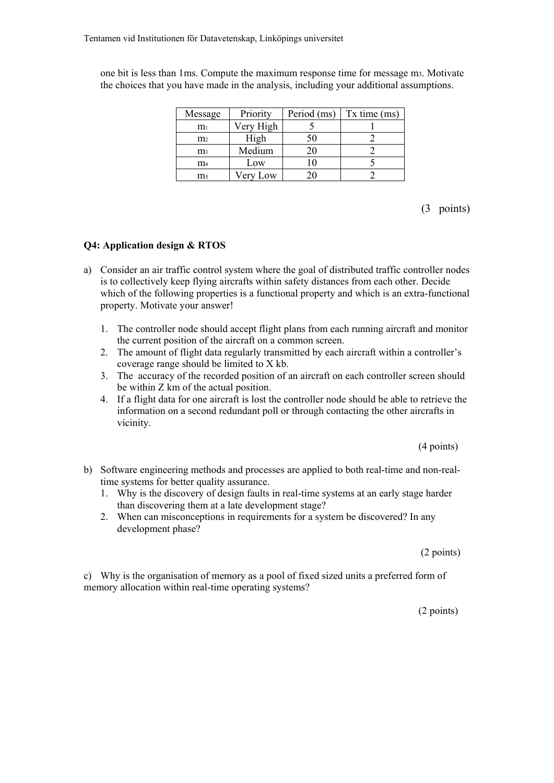| Message        | Priority  | Period (ms) | $Tx$ time $(ms)$ |
|----------------|-----------|-------------|------------------|
| $\rm m_1$      | Very High |             |                  |
| m <sub>2</sub> | High      | 50          |                  |
| m <sub>3</sub> | Medium    | 20          |                  |
| $\mathbf{m}_4$ | Low       | 10          |                  |
| m٢             | Very Low  | ንበ          |                  |

one bit is less than 1ms. Compute the maximum response time for message m3. Motivate the choices that you have made in the analysis, including your additional assumptions.

(3 points)

## **Q4: Application design & RTOS**

- a) Consider an air traffic control system where the goal of distributed traffic controller nodes is to collectively keep flying aircrafts within safety distances from each other. Decide which of the following properties is a functional property and which is an extra-functional property. Motivate your answer!
	- 1. The controller node should accept flight plans from each running aircraft and monitor the current position of the aircraft on a common screen.
	- 2. The amount of flight data regularly transmitted by each aircraft within a controller's coverage range should be limited to X kb.
	- 3. The accuracy of the recorded position of an aircraft on each controller screen should be within Z km of the actual position.
	- 4. If a flight data for one aircraft is lost the controller node should be able to retrieve the information on a second redundant poll or through contacting the other aircrafts in vicinity.

(4 points)

- b) Software engineering methods and processes are applied to both real-time and non-realtime systems for better quality assurance.
	- 1. Why is the discovery of design faults in real-time systems at an early stage harder than discovering them at a late development stage?
	- 2. When can misconceptions in requirements for a system be discovered? In any development phase?

(2 points)

c) Why is the organisation of memory as a pool of fixed sized units a preferred form of memory allocation within real-time operating systems?

(2 points)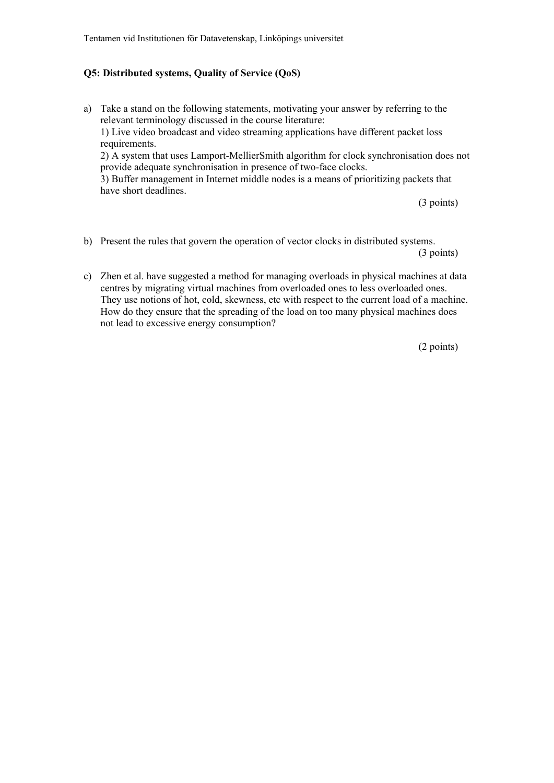#### **Q5: Distributed systems, Quality of Service (QoS)**

a) Take a stand on the following statements, motivating your answer by referring to the relevant terminology discussed in the course literature: 1) Live video broadcast and video streaming applications have different packet loss requirements. 2) A system that uses Lamport-MellierSmith algorithm for clock synchronisation does not provide adequate synchronisation in presence of two-face clocks. 3) Buffer management in Internet middle nodes is a means of prioritizing packets that have short deadlines.

(3 points)

- b) Present the rules that govern the operation of vector clocks in distributed systems. (3 points)
- c) Zhen et al. have suggested a method for managing overloads in physical machines at data centres by migrating virtual machines from overloaded ones to less overloaded ones. They use notions of hot, cold, skewness, etc with respect to the current load of a machine. How do they ensure that the spreading of the load on too many physical machines does not lead to excessive energy consumption?

(2 points)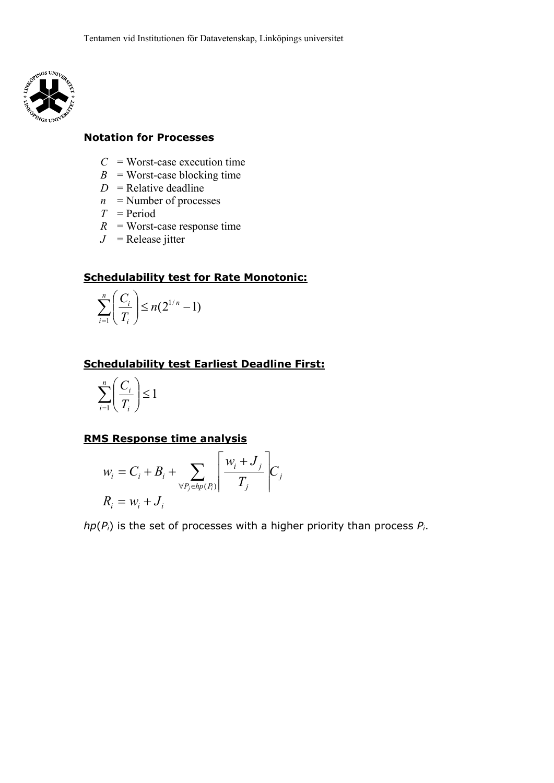

## **Notation for Processes**

- $C =$  Worst-case execution time
- $B =$  Worst-case blocking time
- $D =$ Relative deadline
- $n =$ Number of processes
- *T* = Period
- $R$  = Worst-case response time
- $J =$  Release jitter

## **Schedulability test for Rate Monotonic:**

$$
\sum_{i=1}^n \left(\frac{C_i}{T_i}\right) \le n(2^{1/n}-1)
$$

# **Schedulability test Earliest Deadline First:**

$$
\sum_{i=1}^n \left(\frac{C_i}{T_i}\right) \le 1
$$

## **RMS Response time analysis**

$$
w_i = C_i + B_i + \sum_{\forall P_j \in hp(P_i)} \left[ \frac{w_i + J_j}{T_j} \right] C_j
$$
  

$$
R_i = w_i + J_i
$$

*hp*(*Pi*) is the set of processes with a higher priority than process *Pi*.